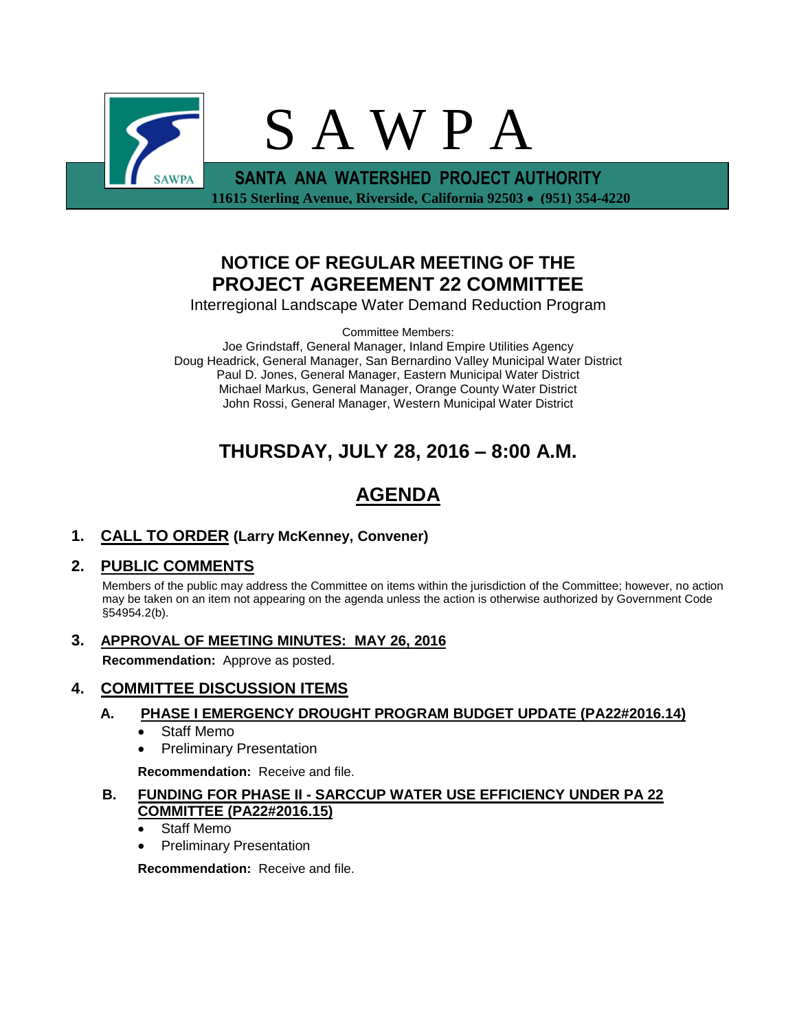

## **NOTICE OF REGULAR MEETING OF THE PROJECT AGREEMENT 22 COMMITTEE**

Interregional Landscape Water Demand Reduction Program

Committee Members:

Joe Grindstaff, General Manager, Inland Empire Utilities Agency Doug Headrick, General Manager, San Bernardino Valley Municipal Water District Paul D. Jones, General Manager, Eastern Municipal Water District Michael Markus, General Manager, Orange County Water District John Rossi, General Manager, Western Municipal Water District

# **THURSDAY, JULY 28, 2016 – 8:00 A.M.**

# **AGENDA**

**1. CALL TO ORDER (Larry McKenney, Convener)** 

## **2. PUBLIC COMMENTS**

Members of the public may address the Committee on items within the jurisdiction of the Committee; however, no action may be taken on an item not appearing on the agenda unless the action is otherwise authorized by Government Code §54954.2(b).

**3. APPROVAL OF MEETING MINUTES: MAY 26, 2016**

**Recommendation:** Approve as posted.

## **4. COMMITTEE DISCUSSION ITEMS**

## **A. PHASE I EMERGENCY DROUGHT PROGRAM BUDGET UPDATE (PA22#2016.14)**

- Staff Memo
- Preliminary Presentation

**Recommendation:** Receive and file.

- **B. FUNDING FOR PHASE II - SARCCUP WATER USE EFFICIENCY UNDER PA 22 COMMITTEE (PA22#2016.15)**
	- Staff Memo
	- Preliminary Presentation

**Recommendation:** Receive and file.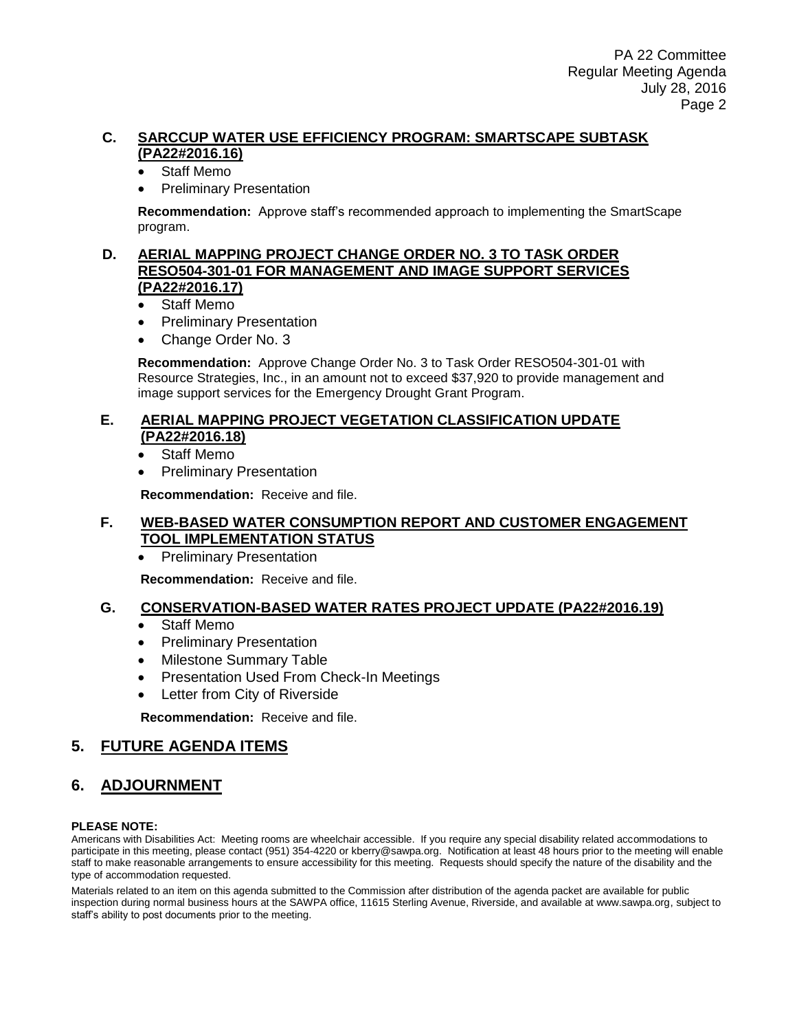### **C. SARCCUP WATER USE EFFICIENCY PROGRAM: SMARTSCAPE SUBTASK (PA22#2016.16)**

- Staff Memo
- Preliminary Presentation

**Recommendation:** Approve staff's recommended approach to implementing the SmartScape program.

#### **D. AERIAL MAPPING PROJECT CHANGE ORDER NO. 3 TO TASK ORDER RESO504-301-01 FOR MANAGEMENT AND IMAGE SUPPORT SERVICES (PA22#2016.17)**

- Staff Memo
- Preliminary Presentation
- Change Order No. 3

**Recommendation:** Approve Change Order No. 3 to Task Order RESO504-301-01 with Resource Strategies, Inc., in an amount not to exceed \$37,920 to provide management and image support services for the Emergency Drought Grant Program.

#### **E. AERIAL MAPPING PROJECT VEGETATION CLASSIFICATION UPDATE (PA22#2016.18)**

- Staff Memo
- Preliminary Presentation

**Recommendation:** Receive and file.

### **F. WEB-BASED WATER CONSUMPTION REPORT AND CUSTOMER ENGAGEMENT TOOL IMPLEMENTATION STATUS**

• Preliminary Presentation

**Recommendation:** Receive and file.

### **G. CONSERVATION-BASED WATER RATES PROJECT UPDATE (PA22#2016.19)**

- Staff Memo
- Preliminary Presentation
- Milestone Summary Table
- Presentation Used From Check-In Meetings
- Letter from City of Riverside

**Recommendation:** Receive and file.

## **5. FUTURE AGENDA ITEMS**

## **6. ADJOURNMENT**

#### **PLEASE NOTE:**

Americans with Disabilities Act: Meeting rooms are wheelchair accessible. If you require any special disability related accommodations to participate in this meeting, please contact (951) 354-4220 or kberry@sawpa.org. Notification at least 48 hours prior to the meeting will enable staff to make reasonable arrangements to ensure accessibility for this meeting. Requests should specify the nature of the disability and the type of accommodation requested.

Materials related to an item on this agenda submitted to the Commission after distribution of the agenda packet are available for public inspection during normal business hours at the SAWPA office, 11615 Sterling Avenue, Riverside, and available at www.sawpa.org, subject to staff's ability to post documents prior to the meeting.